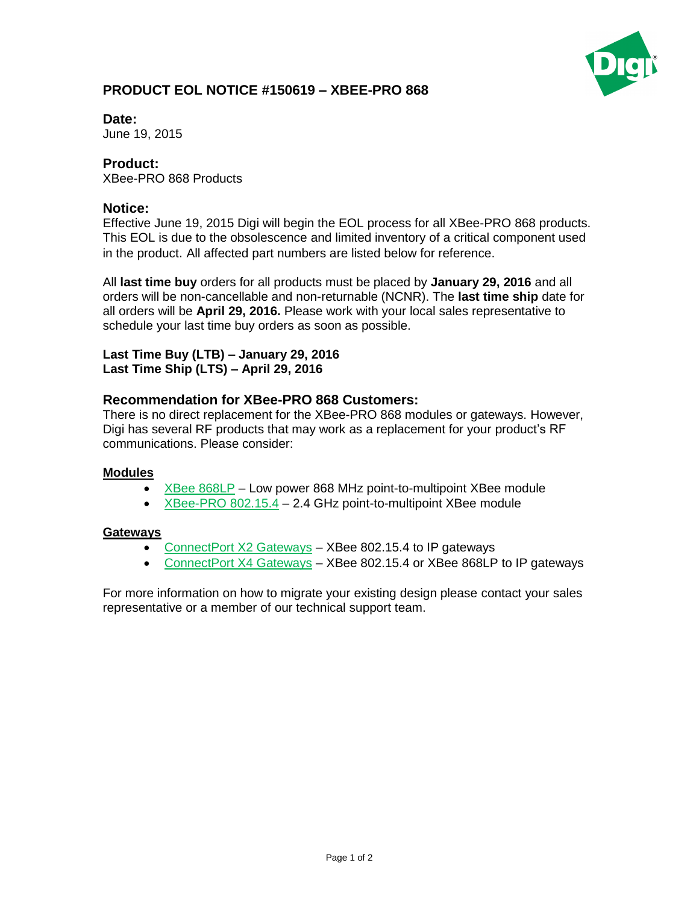

## **PRODUCT EOL NOTICE #150619 – XBEE-PRO 868**

**Date:** 

June 19, 2015

### **Product:**

XBee-PRO 868 Products

#### **Notice:**

Effective June 19, 2015 Digi will begin the EOL process for all XBee-PRO 868 products. This EOL is due to the obsolescence and limited inventory of a critical component used in the product. All affected part numbers are listed below for reference.

All **last time buy** orders for all products must be placed by **January 29, 2016** and all orders will be non-cancellable and non-returnable (NCNR). The **last time ship** date for all orders will be **April 29, 2016.** Please work with your local sales representative to schedule your last time buy orders as soon as possible.

#### **Last Time Buy (LTB) – January 29, 2016 Last Time Ship (LTS) – April 29, 2016**

### **Recommendation for XBee-PRO 868 Customers:**

There is no direct replacement for the XBee-PRO 868 modules or gateways. However, Digi has several RF products that may work as a replacement for your product's RF communications. Please consider:

#### **Modules**

- [XBee 868LP](http://www.digi.com/products/wireless-wired-embedded-solutions/zigbee-rf-modules/zigbee-mesh-module/xbee-868lp) Low power 868 MHz point-to-multipoint XBee module
- [XBee-PRO 802.15.4](http://www.digi.com/products/wireless-wired-embedded-solutions/zigbee-rf-modules/point-multipoint-rfmodules/xbee-series1-module) 2.4 GHz point-to-multipoint XBee module

#### **Gateways**

- [ConnectPort X2 Gateways](http://www.digi.com/products/wireless-routers-gateways/gateways/connectportx2gateways#overview) XBee 802.15.4 to IP gateways
- [ConnectPort X4 Gateways](http://www.digi.com/products/wireless-routers-gateways/routing-gateways/connectportx4) XBee 802.15.4 or XBee 868LP to IP gateways

For more information on how to migrate your existing design please contact your sales representative or a member of our technical support team.